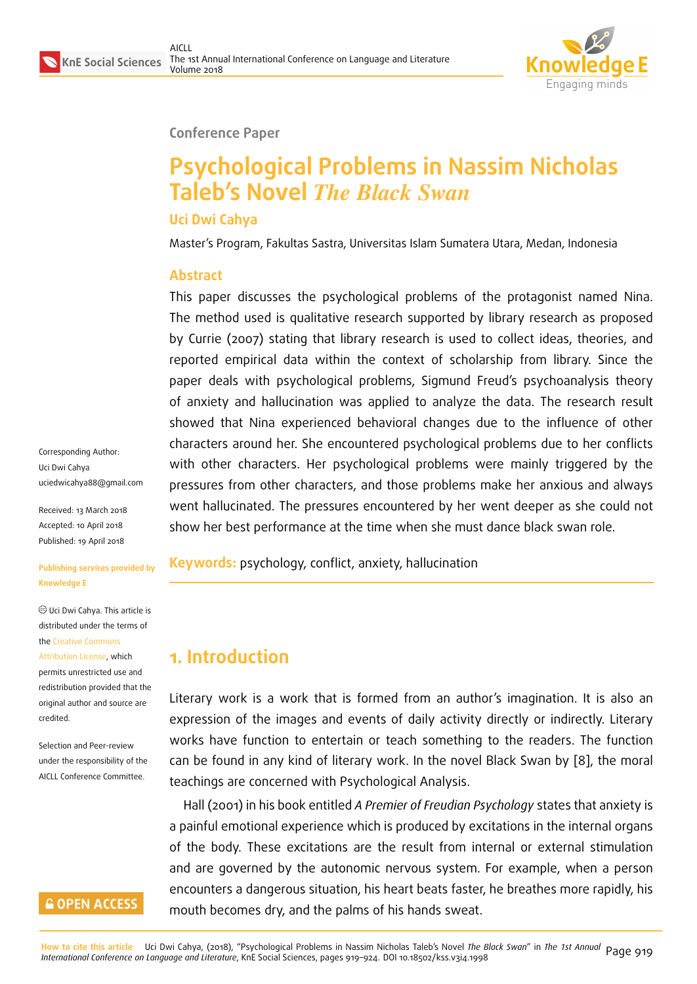#### **Conference Paper**

# **Psychological Problems in Nassim Nicholas Taleb's Novel** *The Black Swan*

#### **Uci Dwi Cahya**

Master's Program, Fakultas Sastra, Universitas Islam Sumatera Utara, Medan, Indonesia

#### **Abstract**

This paper discusses the psychological problems of the protagonist named Nina. The method used is qualitative research supported by library research as proposed by Currie (2007) stating that library research is used to collect ideas, theories, and reported empirical data within the context of scholarship from library. Since the paper deals with psychological problems, Sigmund Freud's psychoanalysis theory of anxiety and hallucination was applied to analyze the data. The research result showed that Nina experienced behavioral changes due to the influence of other characters around her. She encountered psychological problems due to her conflicts with other characters. Her psychological problems were mainly triggered by the pressures from other characters, and those problems make her anxious and always went hallucinated. The pressures encountered by her went deeper as she could not show her best performance at the time when she must dance black swan role.

**Keywords:** psychology, conflict, anxiety, hallucination

### **1. Introduction**

Literary work is a work that is formed from an author's imagination. It is also an expression of the images and events of daily activity directly or indirectly. Literary works have function to entertain or teach something to the readers. The function can be found in any kind of literary work. In the novel Black Swan by [8], the moral teachings are concerned with Psychological Analysis.

Hall (2001) in his book entitled *A Premier of Freudian Psychology* states that anxiety is a painful emotional experience which is produced by excitations in the i[nte](#page-5-0)rnal organs of the body. These excitations are the result from internal or external stimulation and are governed by the autonomic nervous system. For example, when a person encounters a dangerous situation, his heart beats faster, he breathes more rapidly, his mouth becomes dry, and the palms of his hands sweat.

Corresponding Author: Uci Dwi Cahya uciedwicahya88@gmail.com

Received: 13 March 2018 Accepted: 10 April 2018 [Published: 19 April 2018](mailto:uciedwicahya88@gmail.com)

#### **Publishing services provided by Knowledge E**

Uci Dwi Cahya. This article is distributed under the terms of the Creative Commons Attribution License, which permits unrestricted use and redistribution provided that the ori[ginal author and sou](https://creativecommons.org/licenses/by/4.0/)rce are [credited.](https://creativecommons.org/licenses/by/4.0/)

Selection and Peer-review under the responsibility of the AICLL Conference Committee.

#### **GOPEN ACCESS**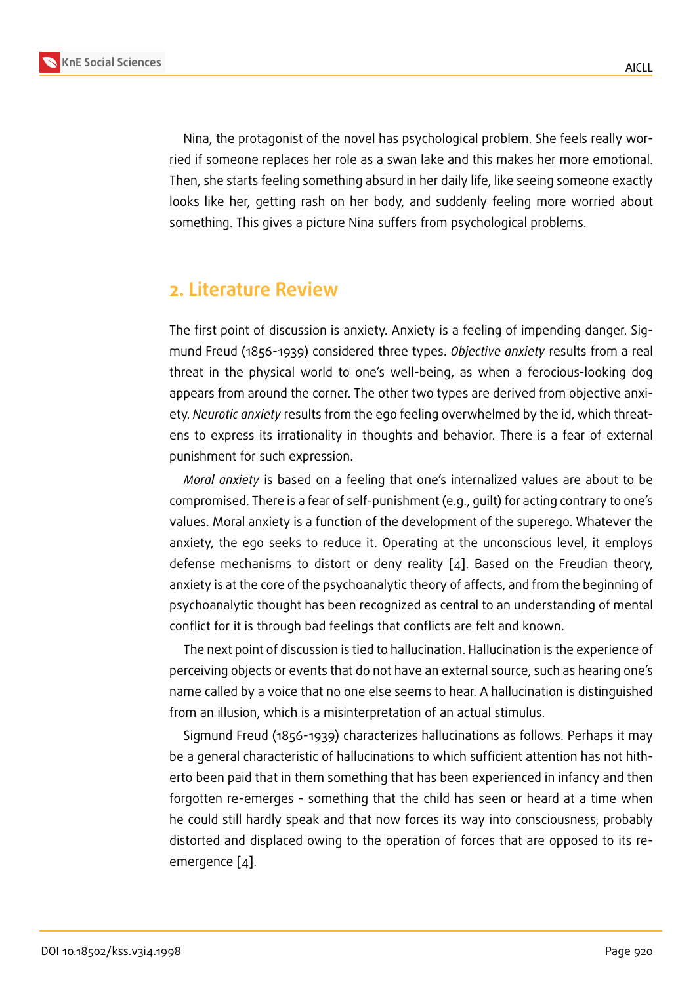Nina, the protagonist of the novel has psychological problem. She feels really worried if someone replaces her role as a swan lake and this makes her more emotional. Then, she starts feeling something absurd in her daily life, like seeing someone exactly looks like her, getting rash on her body, and suddenly feeling more worried about something. This gives a picture Nina suffers from psychological problems.

#### **2. Literature Review**

The first point of discussion is anxiety. Anxiety is a feeling of impending danger. Sigmund Freud (1856-1939) considered three types. *Objective anxiety* results from a real threat in the physical world to one's well-being, as when a ferocious-looking dog appears from around the corner. The other two types are derived from objective anxiety. *Neurotic anxiety* results from the ego feeling overwhelmed by the id, which threatens to express its irrationality in thoughts and behavior. There is a fear of external punishment for such expression.

*Moral anxiety* is based on a feeling that one's internalized values are about to be compromised. There is a fear of self-punishment (e.g., guilt) for acting contrary to one's values. Moral anxiety is a function of the development of the superego. Whatever the anxiety, the ego seeks to reduce it. Operating at the unconscious level, it employs defense mechanisms to distort or deny reality [4]. Based on the Freudian theory, anxiety is at the core of the psychoanalytic theory of affects, and from the beginning of psychoanalytic thought has been recognized as central to an understanding of mental conflict for it is through bad feelings that conflicts [ar](#page-5-1)e felt and known.

The next point of discussion is tied to hallucination. Hallucination is the experience of perceiving objects or events that do not have an external source, such as hearing one's name called by a voice that no one else seems to hear. A hallucination is distinguished from an illusion, which is a misinterpretation of an actual stimulus.

Sigmund Freud (1856-1939) characterizes hallucinations as follows. Perhaps it may be a general characteristic of hallucinations to which sufficient attention has not hitherto been paid that in them something that has been experienced in infancy and then forgotten re-emerges - something that the child has seen or heard at a time when he could still hardly speak and that now forces its way into consciousness, probably distorted and displaced owing to the operation of forces that are opposed to its reemergence [4].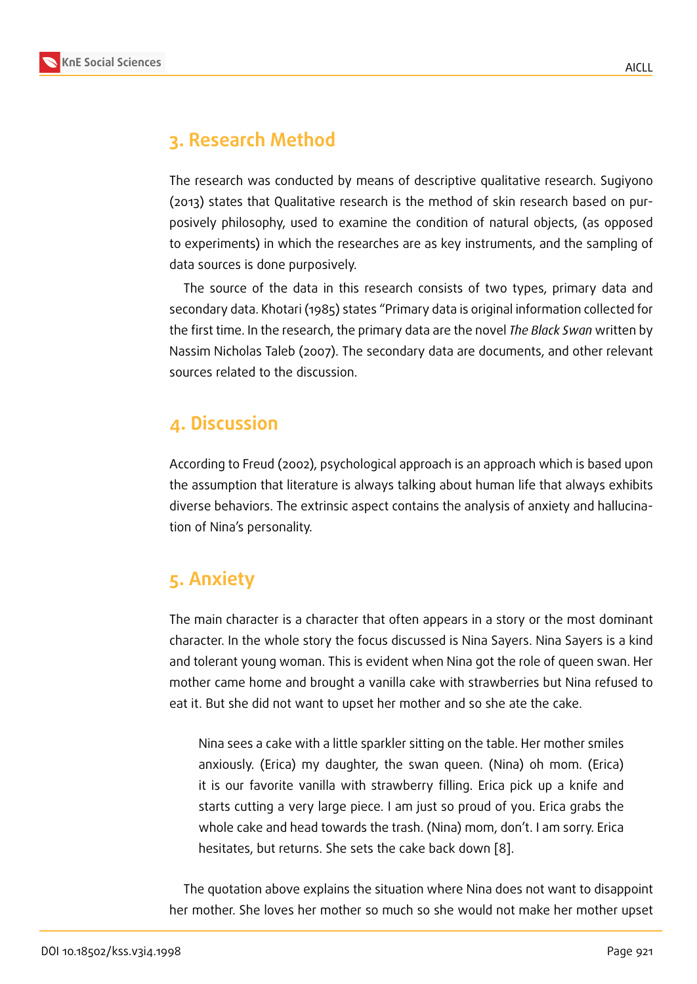## **3. Research Method**

The research was conducted by means of descriptive qualitative research. Sugiyono (2013) states that Qualitative research is the method of skin research based on purposively philosophy, used to examine the condition of natural objects, (as opposed to experiments) in which the researches are as key instruments, and the sampling of data sources is done purposively.

The source of the data in this research consists of two types, primary data and secondary data. Khotari (1985) states "Primary data is original information collected for the first time. In the research, the primary data are the novel *The Black Swan* written by Nassim Nicholas Taleb (2007). The secondary data are documents, and other relevant sources related to the discussion.

### **4. Discussion**

According to Freud (2002), psychological approach is an approach which is based upon the assumption that literature is always talking about human life that always exhibits diverse behaviors. The extrinsic aspect contains the analysis of anxiety and hallucination of Nina's personality.

### **5. Anxiety**

The main character is a character that often appears in a story or the most dominant character. In the whole story the focus discussed is Nina Sayers. Nina Sayers is a kind and tolerant young woman. This is evident when Nina got the role of queen swan. Her mother came home and brought a vanilla cake with strawberries but Nina refused to eat it. But she did not want to upset her mother and so she ate the cake.

Nina sees a cake with a little sparkler sitting on the table. Her mother smiles anxiously. (Erica) my daughter, the swan queen. (Nina) oh mom. (Erica) it is our favorite vanilla with strawberry filling. Erica pick up a knife and starts cutting a very large piece. I am just so proud of you. Erica grabs the whole cake and head towards the trash. (Nina) mom, don't. I am sorry. Erica hesitates, but returns. She sets the cake back down [8].

The quotation above explains the situation where Nina does not want to disappoint her mother. She loves her mother so much so she would [no](#page-5-0)t make her mother upset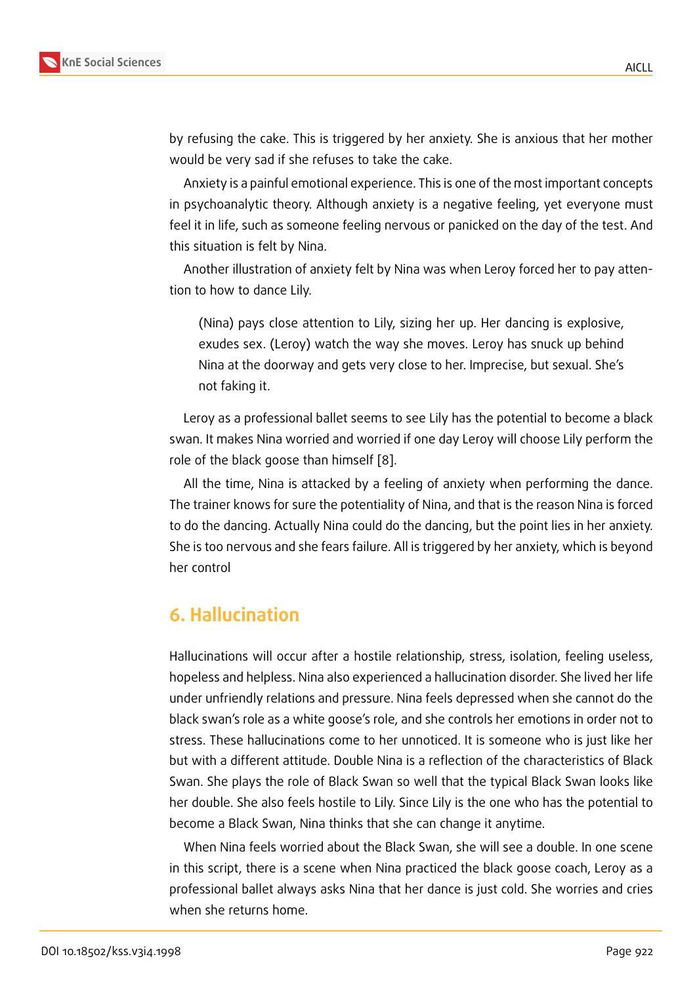by refusing the cake. This is triggered by her anxiety. She is anxious that her mother would be very sad if she refuses to take the cake.

Anxiety is a painful emotional experience. This is one of the most important concepts in psychoanalytic theory. Although anxiety is a negative feeling, yet everyone must feel it in life, such as someone feeling nervous or panicked on the day of the test. And this situation is felt by Nina.

Another illustration of anxiety felt by Nina was when Leroy forced her to pay attention to how to dance Lily.

(Nina) pays close attention to Lily, sizing her up. Her dancing is explosive, exudes sex. (Leroy) watch the way she moves. Leroy has snuck up behind Nina at the doorway and gets very close to her. Imprecise, but sexual. She's not faking it.

Leroy as a professional ballet seems to see Lily has the potential to become a black swan. It makes Nina worried and worried if one day Leroy will choose Lily perform the role of the black goose than himself [8].

All the time, Nina is attacked by a feeling of anxiety when performing the dance. The trainer knows for sure the potentiality of Nina, and that is the reason Nina is forced to do the dancing. Actually Nina coul[d d](#page-5-0)o the dancing, but the point lies in her anxiety. She is too nervous and she fears failure. All is triggered by her anxiety, which is beyond her control

### **6. Hallucination**

Hallucinations will occur after a hostile relationship, stress, isolation, feeling useless, hopeless and helpless. Nina also experienced a hallucination disorder. She lived her life under unfriendly relations and pressure. Nina feels depressed when she cannot do the black swan's role as a white goose's role, and she controls her emotions in order not to stress. These hallucinations come to her unnoticed. It is someone who is just like her but with a different attitude. Double Nina is a reflection of the characteristics of Black Swan. She plays the role of Black Swan so well that the typical Black Swan looks like her double. She also feels hostile to Lily. Since Lily is the one who has the potential to become a Black Swan, Nina thinks that she can change it anytime.

When Nina feels worried about the Black Swan, she will see a double. In one scene in this script, there is a scene when Nina practiced the black goose coach, Leroy as a professional ballet always asks Nina that her dance is just cold. She worries and cries when she returns home.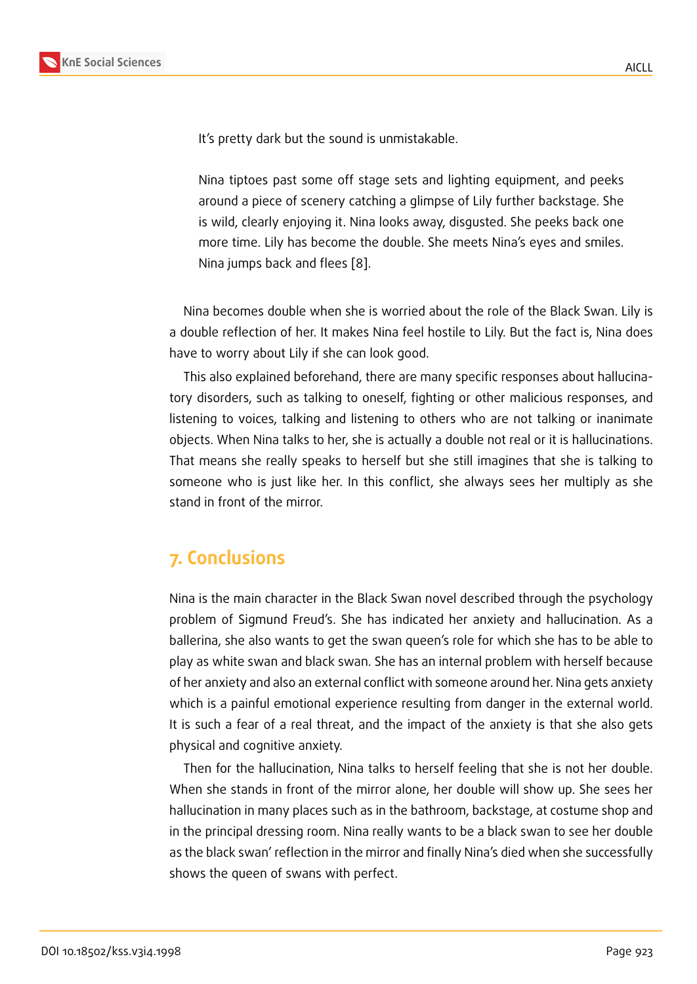It's pretty dark but the sound is unmistakable.

Nina tiptoes past some off stage sets and lighting equipment, and peeks around a piece of scenery catching a glimpse of Lily further backstage. She is wild, clearly enjoying it. Nina looks away, disgusted. She peeks back one more time. Lily has become the double. She meets Nina's eyes and smiles. Nina jumps back and flees [8].

Nina becomes double when she is worried about the role of the Black Swan. Lily is a double reflection of her. It ma[kes](#page-5-0) Nina feel hostile to Lily. But the fact is, Nina does have to worry about Lily if she can look good.

This also explained beforehand, there are many specific responses about hallucinatory disorders, such as talking to oneself, fighting or other malicious responses, and listening to voices, talking and listening to others who are not talking or inanimate objects. When Nina talks to her, she is actually a double not real or it is hallucinations. That means she really speaks to herself but she still imagines that she is talking to someone who is just like her. In this conflict, she always sees her multiply as she stand in front of the mirror.

#### **7. Conclusions**

Nina is the main character in the Black Swan novel described through the psychology problem of Sigmund Freud's. She has indicated her anxiety and hallucination. As a ballerina, she also wants to get the swan queen's role for which she has to be able to play as white swan and black swan. She has an internal problem with herself because of her anxiety and also an external conflict with someone around her. Nina gets anxiety which is a painful emotional experience resulting from danger in the external world. It is such a fear of a real threat, and the impact of the anxiety is that she also gets physical and cognitive anxiety.

Then for the hallucination, Nina talks to herself feeling that she is not her double. When she stands in front of the mirror alone, her double will show up. She sees her hallucination in many places such as in the bathroom, backstage, at costume shop and in the principal dressing room. Nina really wants to be a black swan to see her double as the black swan' reflection in the mirror and finally Nina's died when she successfully shows the queen of swans with perfect.